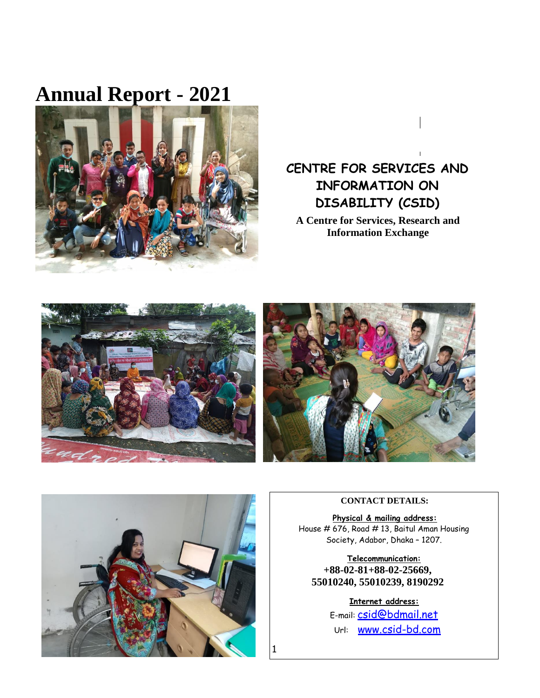# **Annual Report - 2021**



# **CENTRE FOR SERVICES AND INFORMATION ON DISABILITY (CSID)**

**A Centre for Services, Research and Information Exchange**







#### **CONTACT DETAILS:**

**Physical & mailing address:** House # 676, Road # 13, Baitul Aman Housing Society, Adabor, Dhaka – 1207.

**Telecommunication: +88-02-81+88-02-25669, 55010240, 55010239, 8190292**

> **Internet address:** E-mail: [csid@bdmail.net](mailto:csid@bdmail.net) Url: [www.csid-bd.com](http://www.csid-bd.com/)

1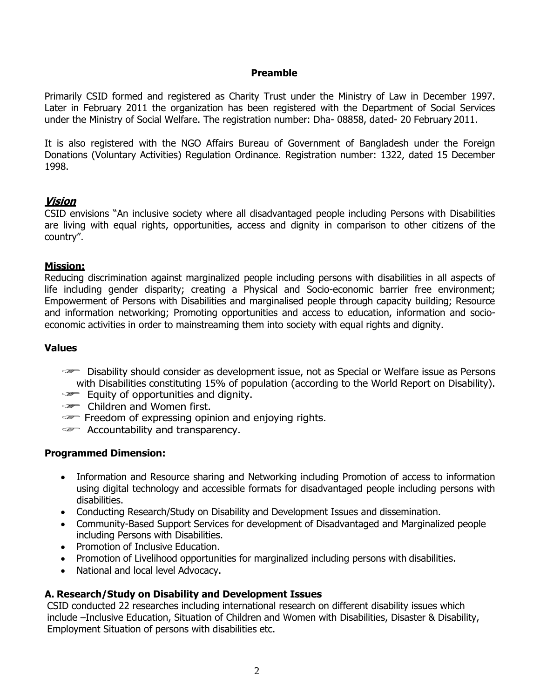#### **Preamble**

Primarily CSID formed and registered as Charity Trust under the Ministry of Law in December 1997. Later in February 2011 the organization has been registered with the Department of Social Services under the Ministry of Social Welfare. The registration number: Dha- 08858, dated- 20 February 2011.

It is also registered with the NGO Affairs Bureau of Government of Bangladesh under the Foreign Donations (Voluntary Activities) Regulation Ordinance. Registration number: 1322, dated 15 December 1998.

#### **Vision**

CSID envisions "An inclusive society where all disadvantaged people including Persons with Disabilities are living with equal rights, opportunities, access and dignity in comparison to other citizens of the country".

#### **Mission:**

Reducing discrimination against marginalized people including persons with disabilities in all aspects of life including gender disparity; creating a Physical and Socio-economic barrier free environment; Empowerment of Persons with Disabilities and marginalised people through capacity building; Resource and information networking; Promoting opportunities and access to education, information and socioeconomic activities in order to mainstreaming them into society with equal rights and dignity.

#### **Values**

 Disability should consider as development issue, not as Special or Welfare issue as Persons with Disabilities constituting 15% of population (according to the World Report on Disability).

- Equity of opportunities and dignity.
- **Communist** Children and Women first.
- $\epsilon$  Freedom of expressing opinion and enjoying rights.
- Accountability and transparency.

#### **Programmed Dimension:**

- Information and Resource sharing and Networking including Promotion of access to information using digital technology and accessible formats for disadvantaged people including persons with disabilities.
- Conducting Research/Study on Disability and Development Issues and dissemination.
- Community-Based Support Services for development of Disadvantaged and Marginalized people including Persons with Disabilities.
- Promotion of Inclusive Education.
- Promotion of Livelihood opportunities for marginalized including persons with disabilities.
- National and local level Advocacy.

# **A. Research/Study on Disability and Development Issues**

CSID conducted 22 researches including international research on different disability issues which include –Inclusive Education, Situation of Children and Women with Disabilities, Disaster & Disability, Employment Situation of persons with disabilities etc.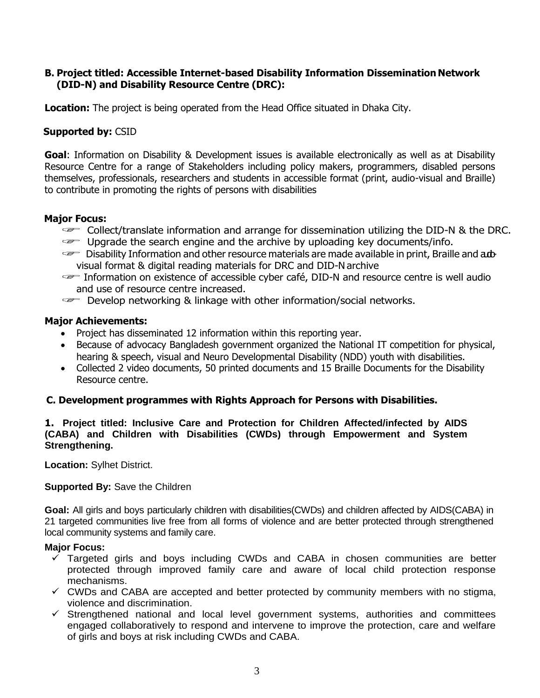#### **B. Project titled: Accessible Internet-based Disability Information Dissemination Network (DID-N) and Disability Resource Centre (DRC):**

**Location:** The project is being operated from the Head Office situated in Dhaka City.

#### **Supported by:** CSID

**Goal**: Information on Disability & Development issues is available electronically as well as at Disability Resource Centre for a range of Stakeholders including policy makers, programmers, disabled persons themselves, professionals, researchers and students in accessible format (print, audio-visual and Braille) to contribute in promoting the rights of persons with disabilities

#### **Major Focus:**

- Collect/translate information and arrange for dissemination utilizing the DID-N & the DRC.
- Upgrade the search engine and the archive by uploading key documents/info.
- $\equiv$  Disability Information and other resource materials are made available in print, Braille and addedvisual format & digital reading materials for DRC and DID-Narchive
- Information on existence of accessible cyber café, DID-N and resource centre is well audio and use of resource centre increased.
- $\equiv$  Develop networking & linkage with other information/social networks.

#### **Major Achievements:**

- Project has disseminated 12 information within this reporting year.
- Because of advocacy Bangladesh government organized the National IT competition for physical, hearing & speech, visual and Neuro Developmental Disability (NDD) youth with disabilities.
- Collected 2 video documents, 50 printed documents and 15 Braille Documents for the Disability Resource centre.

# **C. Development programmes with Rights Approach for Persons with Disabilities.**

#### **1. Project titled: Inclusive Care and Protection for Children Affected/infected by AIDS (CABA) and Children with Disabilities (CWDs) through Empowerment and System Strengthening.**

**Location:** Sylhet District.

#### **Supported By:** Save the Children

**Goal:** All girls and boys particularly children with disabilities(CWDs) and children affected by AIDS(CABA) in 21 targeted communities live free from all forms of violence and are better protected through strengthened local community systems and family care.

#### **Major Focus:**

- $\checkmark$  Targeted girls and boys including CWDs and CABA in chosen communities are better protected through improved family care and aware of local child protection response mechanisms.
- $\checkmark$  CWDs and CABA are accepted and better protected by community members with no stigma, violence and discrimination.
- $\checkmark$  Strengthened national and local level government systems, authorities and committees engaged collaboratively to respond and intervene to improve the protection, care and welfare of girls and boys at risk including CWDs and CABA.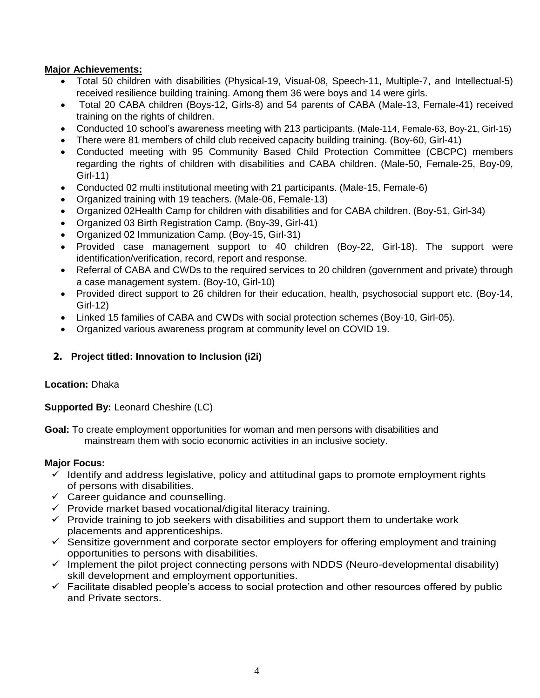# **Major Achievements:**

- Total 50 children with disabilities (Physical-19, Visual-08, Speech-11, Multiple-7, and Intellectual-5) received resilience building training. Among them 36 were boys and 14 were girls.
- Total 20 CABA children (Boys-12, Girls-8) and 54 parents of CABA (Male-13, Female-41) received training on the rights of children.
- Conducted 10 school's awareness meeting with 213 participants. (Male-114, Female-63, Boy-21, Girl-15)
- There were 81 members of child club received capacity building training. (Boy-60, Girl-41)
- Conducted meeting with 95 Community Based Child Protection Committee (CBCPC) members regarding the rights of children with disabilities and CABA children. (Male-50, Female-25, Boy-09, Girl-11)
- Conducted 02 multi institutional meeting with 21 participants. (Male-15, Female-6)
- Organized training with 19 teachers. (Male-06, Female-13)
- Organized 02Health Camp for children with disabilities and for CABA children. (Boy-51, Girl-34)
- Organized 03 Birth Registration Camp. (Boy-39, Girl-41)
- Organized 02 Immunization Camp. (Boy-15, Girl-31)
- Provided case management support to 40 children (Boy-22, Girl-18). The support were identification/verification, record, report and response.
- Referral of CABA and CWDs to the required services to 20 children (government and private) through a case management system. (Boy-10, Girl-10)
- Provided direct support to 26 children for their education, health, psychosocial support etc. (Boy-14, Girl-12)
- Linked 15 families of CABA and CWDs with social protection schemes (Boy-10, Girl-05).
- Organized various awareness program at community level on COVID 19.

# **2. Project titled: Innovation to Inclusion (i2i)**

# **Location:** Dhaka

**Supported By:** Leonard Cheshire (LC)

**Goal:** To create employment opportunities for woman and men persons with disabilities and mainstream them with socio economic activities in an inclusive society.

# **Major Focus:**

- $\checkmark$  Identify and address legislative, policy and attitudinal gaps to promote employment rights of persons with disabilities.
- $\checkmark$  Career guidance and counselling.
- $\checkmark$  Provide market based vocational/digital literacy training.
- $\checkmark$  Provide training to job seekers with disabilities and support them to undertake work placements and apprenticeships.
- $\checkmark$  Sensitize government and corporate sector employers for offering employment and training opportunities to persons with disabilities.
- $\checkmark$  Implement the pilot project connecting persons with NDDS (Neuro-developmental disability) skill development and employment opportunities.
- $\checkmark$  Facilitate disabled people's access to social protection and other resources offered by public and Private sectors.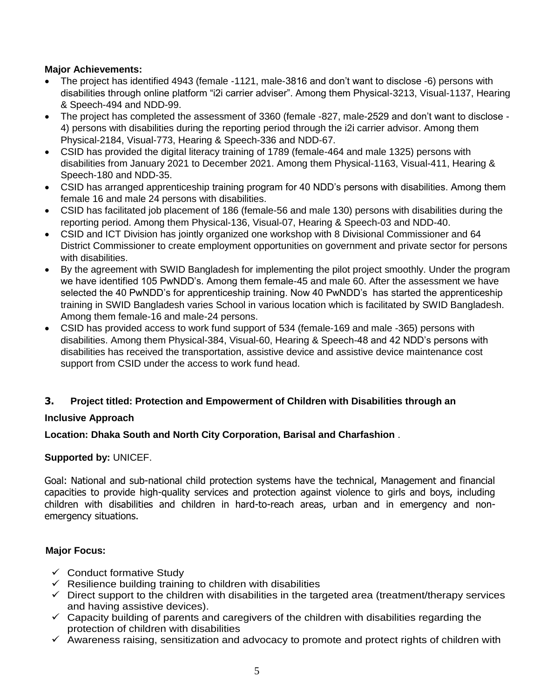# **Major Achievements:**

- The project has identified 4943 (female -1121, male-3816 and don't want to disclose -6) persons with disabilities through online platform "i2i carrier adviser". Among them Physical-3213, Visual-1137, Hearing & Speech-494 and NDD-99.
- The project has completed the assessment of 3360 (female -827, male-2529 and don't want to disclose 4) persons with disabilities during the reporting period through the i2i carrier advisor. Among them Physical-2184, Visual-773, Hearing & Speech-336 and NDD-67.
- CSID has provided the digital literacy training of 1789 (female-464 and male 1325) persons with disabilities from January 2021 to December 2021. Among them Physical-1163, Visual-411, Hearing & Speech-180 and NDD-35.
- CSID has arranged apprenticeship training program for 40 NDD's persons with disabilities. Among them female 16 and male 24 persons with disabilities.
- CSID has facilitated job placement of 186 (female-56 and male 130) persons with disabilities during the reporting period. Among them Physical-136, Visual-07, Hearing & Speech-03 and NDD-40.
- CSID and ICT Division has jointly organized one workshop with 8 Divisional Commissioner and 64 District Commissioner to create employment opportunities on government and private sector for persons with disabilities.
- By the agreement with SWID Bangladesh for implementing the pilot project smoothly. Under the program we have identified 105 PwNDD's. Among them female-45 and male 60. After the assessment we have selected the 40 PwNDD's for apprenticeship training. Now 40 PwNDD's has started the apprenticeship training in SWID Bangladesh varies School in various location which is facilitated by SWID Bangladesh. Among them female-16 and male-24 persons.
- CSID has provided access to work fund support of 534 (female-169 and male -365) persons with disabilities. Among them Physical-384, Visual-60, Hearing & Speech-48 and 42 NDD's persons with disabilities has received the transportation, assistive device and assistive device maintenance cost support from CSID under the access to work fund head.

# **3. Project titled: Protection and Empowerment of Children with Disabilities through an**

#### **Inclusive Approach**

#### **Location: Dhaka South and North City Corporation, Barisal and Charfashion** .

#### **Supported by:** UNICEF.

Goal: National and sub-national child protection systems have the technical, Management and financial capacities to provide high-quality services and protection against violence to girls and boys, including children with disabilities and children in hard-to-reach areas, urban and in emergency and nonemergency situations.

#### **Major Focus:**

- $\checkmark$  Conduct formative Study
- $\checkmark$  Resilience building training to children with disabilities
- $\checkmark$  Direct support to the children with disabilities in the targeted area (treatment/therapy services and having assistive devices).
- $\checkmark$  Capacity building of parents and caregivers of the children with disabilities regarding the protection of children with disabilities
- $\checkmark$  Awareness raising, sensitization and advocacy to promote and protect rights of children with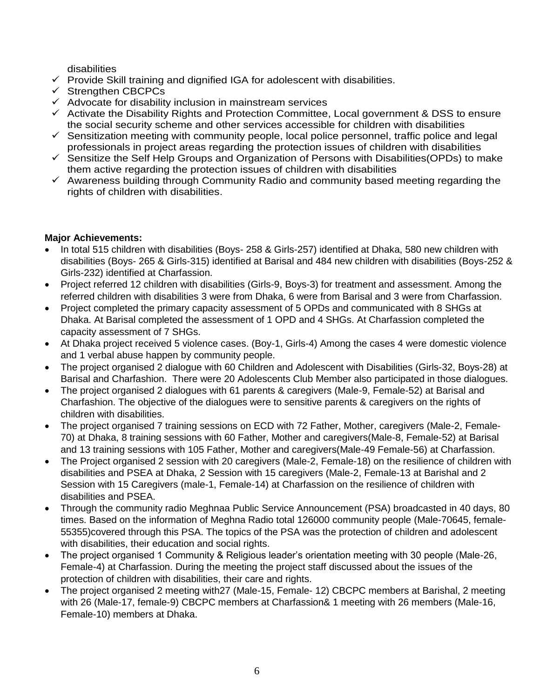disabilities

- $\checkmark$  Provide Skill training and dignified IGA for adolescent with disabilities.
- $\checkmark$  Strengthen CBCPCs
- $\checkmark$  Advocate for disability inclusion in mainstream services
- $\checkmark$  Activate the Disability Rights and Protection Committee, Local government & DSS to ensure the social security scheme and other services accessible for children with disabilities
- $\checkmark$  Sensitization meeting with community people, local police personnel, traffic police and legal professionals in project areas regarding the protection issues of children with disabilities
- $\checkmark$  Sensitize the Self Help Groups and Organization of Persons with Disabilities(OPDs) to make them active regarding the protection issues of children with disabilities
- $\checkmark$  Awareness building through Community Radio and community based meeting regarding the rights of children with disabilities.

# **Major Achievements:**

- In total 515 children with disabilities (Boys- 258 & Girls-257) identified at Dhaka, 580 new children with disabilities (Boys- 265 & Girls-315) identified at Barisal and 484 new children with disabilities (Boys-252 & Girls-232) identified at Charfassion.
- Project referred 12 children with disabilities (Girls-9, Boys-3) for treatment and assessment. Among the referred children with disabilities 3 were from Dhaka, 6 were from Barisal and 3 were from Charfassion.
- Project completed the primary capacity assessment of 5 OPDs and communicated with 8 SHGs at Dhaka. At Barisal completed the assessment of 1 OPD and 4 SHGs. At Charfassion completed the capacity assessment of 7 SHGs.
- At Dhaka project received 5 violence cases. (Boy-1, Girls-4) Among the cases 4 were domestic violence and 1 verbal abuse happen by community people.
- The project organised 2 dialogue with 60 Children and Adolescent with Disabilities (Girls-32, Boys-28) at Barisal and Charfashion. There were 20 Adolescents Club Member also participated in those dialogues.
- The project organised 2 dialogues with 61 parents & caregivers (Male-9, Female-52) at Barisal and Charfashion. The objective of the dialogues were to sensitive parents & caregivers on the rights of children with disabilities.
- The project organised 7 training sessions on ECD with 72 Father, Mother, caregivers (Male-2, Female-70) at Dhaka, 8 training sessions with 60 Father, Mother and caregivers(Male-8, Female-52) at Barisal and 13 training sessions with 105 Father, Mother and caregivers(Male-49 Female-56) at Charfassion.
- The Project organised 2 session with 20 caregivers (Male-2, Female-18) on the resilience of children with disabilities and PSEA at Dhaka, 2 Session with 15 caregivers (Male-2, Female-13 at Barishal and 2 Session with 15 Caregivers (male-1, Female-14) at Charfassion on the resilience of children with disabilities and PSEA.
- Through the community radio Meghnaa Public Service Announcement (PSA) broadcasted in 40 days, 80 times. Based on the information of Meghna Radio total 126000 community people (Male-70645, female-55355)covered through this PSA. The topics of the PSA was the protection of children and adolescent with disabilities, their education and social rights.
- The project organised 1 Community & Religious leader's orientation meeting with 30 people (Male-26, Female-4) at Charfassion. During the meeting the project staff discussed about the issues of the protection of children with disabilities, their care and rights.
- The project organised 2 meeting with27 (Male-15, Female- 12) CBCPC members at Barishal, 2 meeting with 26 (Male-17, female-9) CBCPC members at Charfassion& 1 meeting with 26 members (Male-16, Female-10) members at Dhaka.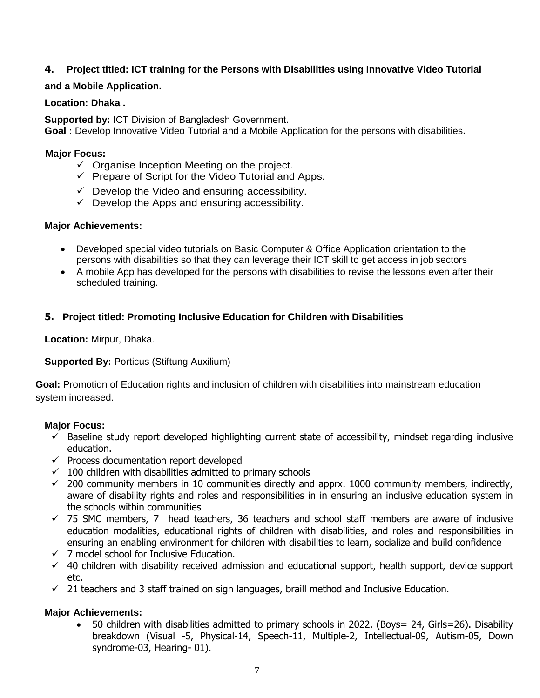# **4. Project titled: ICT training for the Persons with Disabilities using Innovative Video Tutorial**

#### **and a Mobile Application.**

#### **Location: Dhaka .**

**Supported by:** ICT Division of Bangladesh Government. **Goal :** Develop Innovative Video Tutorial and a Mobile Application for the persons with disabilities**.**

#### **Major Focus:**

- $\checkmark$  Organise Inception Meeting on the project.
- $\checkmark$  Prepare of Script for the Video Tutorial and Apps.
- $\checkmark$  Develop the Video and ensuring accessibility.
- $\checkmark$  Develop the Apps and ensuring accessibility.

#### **Major Achievements:**

- Developed special video tutorials on Basic Computer & Office Application orientation to the persons with disabilities so that they can leverage their ICT skill to get access in job sectors
- A mobile App has developed for the persons with disabilities to revise the lessons even after their scheduled training.

# **5. Project titled: Promoting Inclusive Education for Children with Disabilities**

**Location:** Mirpur, Dhaka.

#### **Supported By: Porticus (Stiftung Auxilium)**

**Goal:** Promotion of Education rights and inclusion of children with disabilities into mainstream education system increased.

#### **Major Focus:**

- $\checkmark$  Baseline study report developed highlighting current state of accessibility, mindset regarding inclusive education.
- $\checkmark$  Process documentation report developed
- $\checkmark$  100 children with disabilities admitted to primary schools
- $\checkmark$  200 community members in 10 communities directly and apprx. 1000 community members, indirectly, aware of disability rights and roles and responsibilities in in ensuring an inclusive education system in the schools within communities
- $\checkmark$  75 SMC members, 7 head teachers, 36 teachers and school staff members are aware of inclusive education modalities, educational rights of children with disabilities, and roles and responsibilities in ensuring an enabling environment for children with disabilities to learn, socialize and build confidence
- $\times$  7 model school for Inclusive Education.
- $\checkmark$  40 children with disability received admission and educational support, health support, device support etc.
- $\checkmark$  21 teachers and 3 staff trained on sign languages, braill method and Inclusive Education.

# **Major Achievements:**

 50 children with disabilities admitted to primary schools in 2022. (Boys= 24, Girls=26). Disability breakdown (Visual -5, Physical-14, Speech-11, Multiple-2, Intellectual-09, Autism-05, Down syndrome-03, Hearing- 01).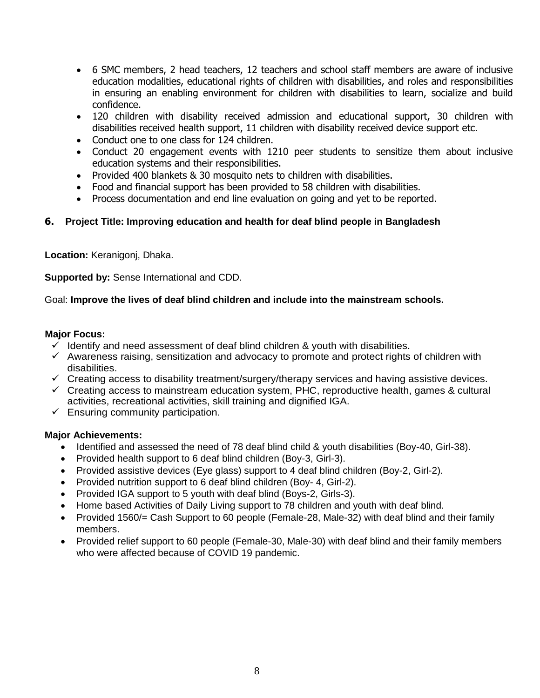- 6 SMC members, 2 head teachers, 12 teachers and school staff members are aware of inclusive education modalities, educational rights of children with disabilities, and roles and responsibilities in ensuring an enabling environment for children with disabilities to learn, socialize and build confidence.
- 120 children with disability received admission and educational support, 30 children with disabilities received health support, 11 children with disability received device support etc.
- Conduct one to one class for 124 children.
- Conduct 20 engagement events with 1210 peer students to sensitize them about inclusive education systems and their responsibilities.
- Provided 400 blankets & 30 mosquito nets to children with disabilities.
- Food and financial support has been provided to 58 children with disabilities.
- Process documentation and end line evaluation on going and yet to be reported.

# **6. Project Title: Improving education and health for deaf blind people in Bangladesh**

**Location:** Keranigonj, Dhaka.

**Supported by:** Sense International and CDD.

#### Goal: **Improve the lives of deaf blind children and include into the mainstream schools.**

#### **Major Focus:**

- $\checkmark$  Identify and need assessment of deaf blind children & youth with disabilities.
- $\checkmark$  Awareness raising, sensitization and advocacy to promote and protect rights of children with disabilities.
- $\checkmark$  Creating access to disability treatment/surgery/therapy services and having assistive devices.
- $\checkmark$  Creating access to mainstream education system, PHC, reproductive health, games & cultural activities, recreational activities, skill training and dignified IGA.
- $\checkmark$  Ensuring community participation.

#### **Major Achievements:**

- Identified and assessed the need of 78 deaf blind child & youth disabilities (Boy-40, Girl-38).
- Provided health support to 6 deaf blind children (Boy-3, Girl-3).
- Provided assistive devices (Eye glass) support to 4 deaf blind children (Boy-2, Girl-2).
- Provided nutrition support to 6 deaf blind children (Boy- 4, Girl-2).
- Provided IGA support to 5 youth with deaf blind (Boys-2, Girls-3).
- Home based Activities of Daily Living support to 78 children and youth with deaf blind.
- Provided 1560/= Cash Support to 60 people (Female-28, Male-32) with deaf blind and their family members.
- Provided relief support to 60 people (Female-30, Male-30) with deaf blind and their family members who were affected because of COVID 19 pandemic.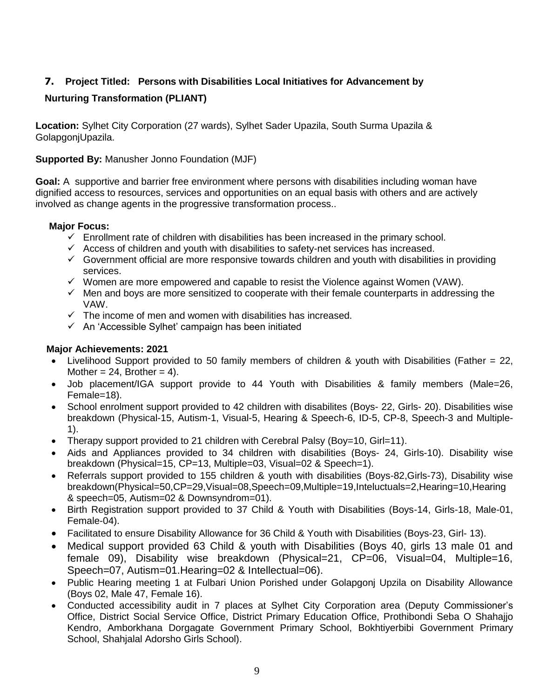# **7. Project Titled: Persons with Disabilities Local Initiatives for Advancement by**

# **Nurturing Transformation (PLIANT)**

**Location:** Sylhet City Corporation (27 wards), Sylhet Sader Upazila, South Surma Upazila & GolapgonjUpazila.

**Supported By:** Manusher Jonno Foundation (MJF)

**Goal:** A supportive and barrier free environment where persons with disabilities including woman have dignified access to resources, services and opportunities on an equal basis with others and are actively involved as change agents in the progressive transformation process..

#### **Major Focus:**

- $\checkmark$  Enrollment rate of children with disabilities has been increased in the primary school.
- $\checkmark$  Access of children and youth with disabilities to safety-net services has increased.
- $\checkmark$  Government official are more responsive towards children and youth with disabilities in providing services.
- $\checkmark$  Women are more empowered and capable to resist the Violence against Women (VAW).
- $\checkmark$  Men and boys are more sensitized to cooperate with their female counterparts in addressing the VAW.
- $\checkmark$  The income of men and women with disabilities has increased.
- $\checkmark$  An 'Accessible Sylhet' campaign has been initiated

#### **Major Achievements: 2021**

- Livelihood Support provided to 50 family members of children & youth with Disabilities (Father = 22, Mother =  $24$ , Brother =  $4$ ).
- Job placement/IGA support provide to 44 Youth with Disabilities & family members (Male=26, Female=18).
- School enrolment support provided to 42 children with disabilites (Boys- 22, Girls- 20). Disabilities wise breakdown (Physical-15, Autism-1, Visual-5, Hearing & Speech-6, ID-5, CP-8, Speech-3 and Multiple-1).
- Therapy support provided to 21 children with Cerebral Palsy (Boy=10, Girl=11).
- Aids and Appliances provided to 34 children with disabilities (Boys- 24, Girls-10). Disability wise breakdown (Physical=15, CP=13, Multiple=03, Visual=02 & Speech=1).
- Referrals support provided to 155 children & youth with disabilities (Boys-82,Girls-73), Disability wise breakdown(Physical=50,CP=29,Visual=08,Speech=09,Multiple=19,Inteluctuals=2,Hearing=10,Hearing & speech=05, Autism=02 & Downsyndrom=01).
- Birth Registration support provided to 37 Child & Youth with Disabilities (Boys-14, Girls-18, Male-01, Female-04).
- Facilitated to ensure Disability Allowance for 36 Child & Youth with Disabilities (Boys-23, Girl- 13).
- Medical support provided 63 Child & youth with Disabilities (Boys 40, girls 13 male 01 and female 09), Disability wise breakdown (Physical=21, CP=06, Visual=04, Multiple=16, Speech=07, Autism=01.Hearing=02 & Intellectual=06).
- Public Hearing meeting 1 at Fulbari Union Porished under Golapgonj Upzila on Disability Allowance (Boys 02, Male 47, Female 16).
- Conducted accessibility audit in 7 places at Sylhet City Corporation area (Deputy Commissioner's Office, District Social Service Office, District Primary Education Office, Prothibondi Seba O Shahajjo Kendro, Amborkhana Dorgagate Government Primary School, Bokhtiyerbibi Government Primary School, Shahjalal Adorsho Girls School).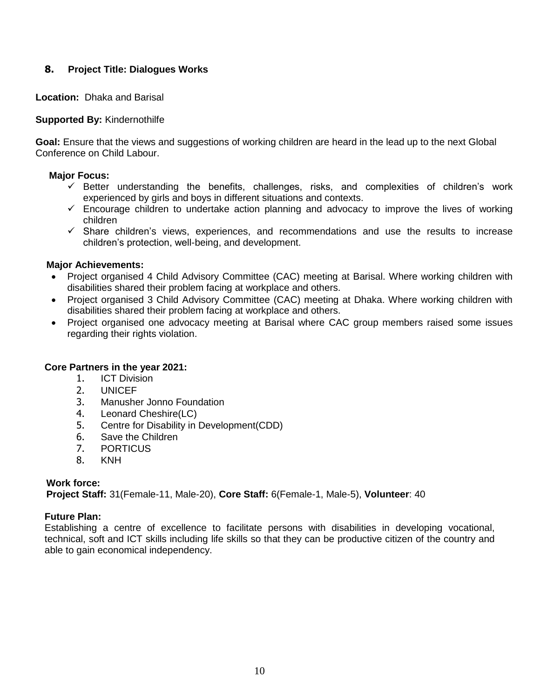# **8. Project Title: Dialogues Works**

**Location:** Dhaka and Barisal

# **Supported By:** Kindernothilfe

**Goal:** Ensure that the views and suggestions of working children are heard in the lead up to the next Global Conference on Child Labour.

#### **Major Focus:**

- $\checkmark$  Better understanding the benefits, challenges, risks, and complexities of children's work experienced by girls and boys in different situations and contexts.
- $\checkmark$  Encourage children to undertake action planning and advocacy to improve the lives of working children
- $\checkmark$  Share children's views, experiences, and recommendations and use the results to increase children's protection, well-being, and development.

#### **Major Achievements:**

- Project organised 4 Child Advisory Committee (CAC) meeting at Barisal. Where working children with disabilities shared their problem facing at workplace and others.
- Project organised 3 Child Advisory Committee (CAC) meeting at Dhaka. Where working children with disabilities shared their problem facing at workplace and others.
- Project organised one advocacy meeting at Barisal where CAC group members raised some issues regarding their rights violation.

#### **Core Partners in the year 2021:**

- 1. ICT Division
- 2. UNICEF
- 3. Manusher Jonno Foundation
- 4. Leonard Cheshire(LC)
- 5. Centre for Disability in Development(CDD)
- 6. Save the Children
- 7. PORTICUS
- 8. KNH

# **Work force:**

**Project Staff:** 31(Female-11, Male-20), **Core Staff:** 6(Female-1, Male-5), **Volunteer**: 40

#### **Future Plan:**

Establishing a centre of excellence to facilitate persons with disabilities in developing vocational, technical, soft and ICT skills including life skills so that they can be productive citizen of the country and able to gain economical independency.